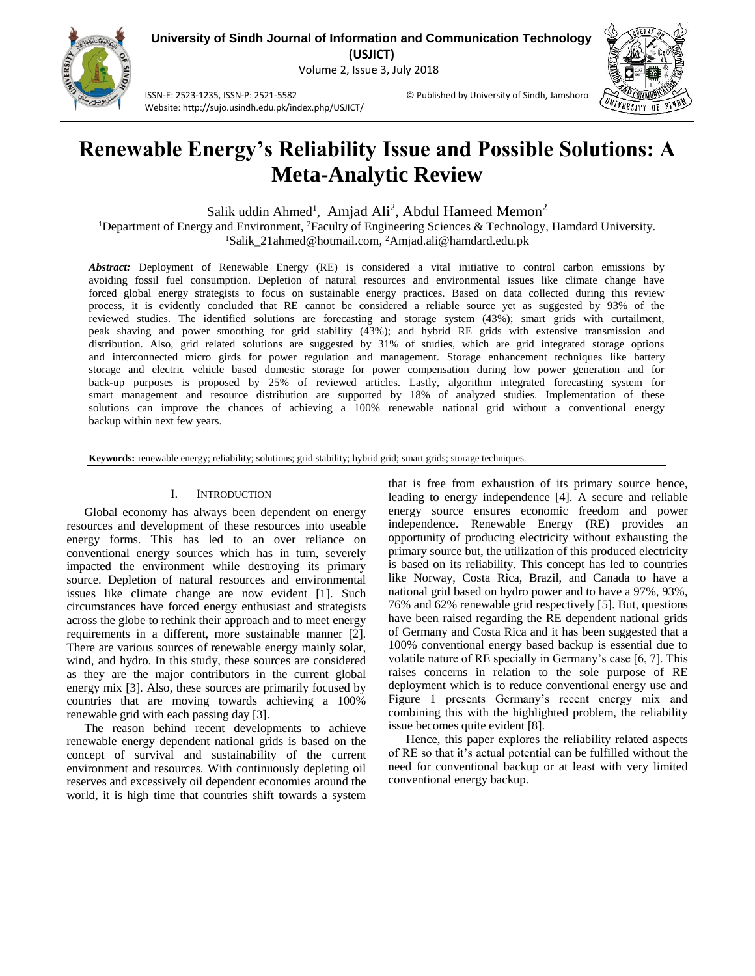Volume 2, Issue 3, July 2018



ISSN-E: 2523-1235, ISSN-P: 2521-5582 © Published by University of Sindh, Jamshoro Website: http://sujo.usindh.edu.pk/index.php/USJICT/

# **Renewable Energy's Reliability Issue and Possible Solutions: A Meta-Analytic Review**

Salik uddin Ahmed<sup>1</sup>, Amjad Ali<sup>2</sup>, Abdul Hameed Memon<sup>2</sup>

<sup>1</sup>Department of Energy and Environment, <sup>2</sup>Faculty of Engineering Sciences & Technology, Hamdard University. <sup>1</sup>Salik\_21ahmed@hotmail.com, <sup>2</sup>Amjad.ali@hamdard.edu.pk

*Abstract:* Deployment of Renewable Energy (RE) is considered a vital initiative to control carbon emissions by avoiding fossil fuel consumption. Depletion of natural resources and environmental issues like climate change have forced global energy strategists to focus on sustainable energy practices. Based on data collected during this review process, it is evidently concluded that RE cannot be considered a reliable source yet as suggested by 93% of the reviewed studies. The identified solutions are forecasting and storage system (43%); smart grids with curtailment, peak shaving and power smoothing for grid stability (43%); and hybrid RE grids with extensive transmission and distribution. Also, grid related solutions are suggested by 31% of studies, which are grid integrated storage options and interconnected micro girds for power regulation and management. Storage enhancement techniques like battery storage and electric vehicle based domestic storage for power compensation during low power generation and for back-up purposes is proposed by 25% of reviewed articles. Lastly, algorithm integrated forecasting system for smart management and resource distribution are supported by 18% of analyzed studies. Implementation of these solutions can improve the chances of achieving a 100% renewable national grid without a conventional energy backup within next few years.

**Keywords:** renewable energy; reliability; solutions; grid stability; hybrid grid; smart grids; storage techniques.

## I. INTRODUCTION

Global economy has always been dependent on energy resources and development of these resources into useable energy forms. This has led to an over reliance on conventional energy sources which has in turn, severely impacted the environment while destroying its primary source. Depletion of natural resources and environmental issues like climate change are now evident [1]. Such circumstances have forced energy enthusiast and strategists across the globe to rethink their approach and to meet energy requirements in a different, more sustainable manner [2]. There are various sources of renewable energy mainly solar, wind, and hydro. In this study, these sources are considered as they are the major contributors in the current global energy mix [3]. Also, these sources are primarily focused by countries that are moving towards achieving a 100% renewable grid with each passing day [3].

The reason behind recent developments to achieve renewable energy dependent national grids is based on the concept of survival and sustainability of the current environment and resources. With continuously depleting oil reserves and excessively oil dependent economies around the world, it is high time that countries shift towards a system

that is free from exhaustion of its primary source hence, leading to energy independence [4]. A secure and reliable energy source ensures economic freedom and power independence. Renewable Energy (RE) provides an opportunity of producing electricity without exhausting the primary source but, the utilization of this produced electricity is based on its reliability. This concept has led to countries like Norway, Costa Rica, Brazil, and Canada to have a national grid based on hydro power and to have a 97%, 93%, 76% and 62% renewable grid respectively [5]. But, questions have been raised regarding the RE dependent national grids of Germany and Costa Rica and it has been suggested that a 100% conventional energy based backup is essential due to volatile nature of RE specially in Germany's case [6, 7]. This raises concerns in relation to the sole purpose of RE deployment which is to reduce conventional energy use and [Figure 1](#page-1-0) presents Germany's recent energy mix and combining this with the highlighted problem, the reliability issue becomes quite evident [8].

Hence, this paper explores the reliability related aspects of RE so that it's actual potential can be fulfilled without the need for conventional backup or at least with very limited conventional energy backup.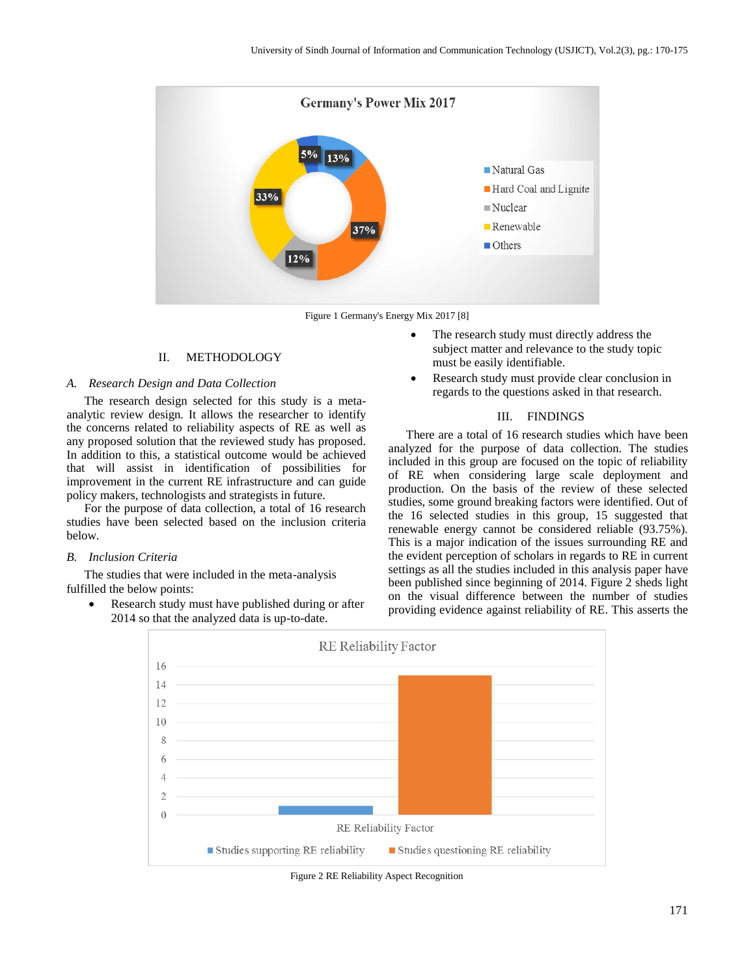

Figure 1 Germany's Energy Mix 2017 [8]

## <span id="page-1-0"></span>II. METHODOLOGY

### *A. Research Design and Data Collection*

The research design selected for this study is a metaanalytic review design. It allows the researcher to identify the concerns related to reliability aspects of RE as well as any proposed solution that the reviewed study has proposed. In addition to this, a statistical outcome would be achieved that will assist in identification of possibilities for improvement in the current RE infrastructure and can guide policy makers, technologists and strategists in future.

For the purpose of data collection, a total of 16 research studies have been selected based on the inclusion criteria below.

# *B. Inclusion Criteria*

The studies that were included in the meta-analysis fulfilled the below points:

 Research study must have published during or after 2014 so that the analyzed data is up-to-date.

- The research study must directly address the subject matter and relevance to the study topic must be easily identifiable.
- Research study must provide clear conclusion in regards to the questions asked in that research.

## III. FINDINGS

There are a total of 16 research studies which have been analyzed for the purpose of data collection. The studies included in this group are focused on the topic of reliability of RE when considering large scale deployment and production. On the basis of the review of these selected studies, some ground breaking factors were identified. Out of the 16 selected studies in this group, 15 suggested that renewable energy cannot be considered reliable (93.75%). This is a major indication of the issues surrounding RE and the evident perception of scholars in regards to RE in current settings as all the studies included in this analysis paper have been published since beginning of 2014. [Figure 2](#page-1-1) sheds light on the visual difference between the number of studies providing evidence against reliability of RE. This asserts the



<span id="page-1-1"></span>Figure 2 RE Reliability Aspect Recognition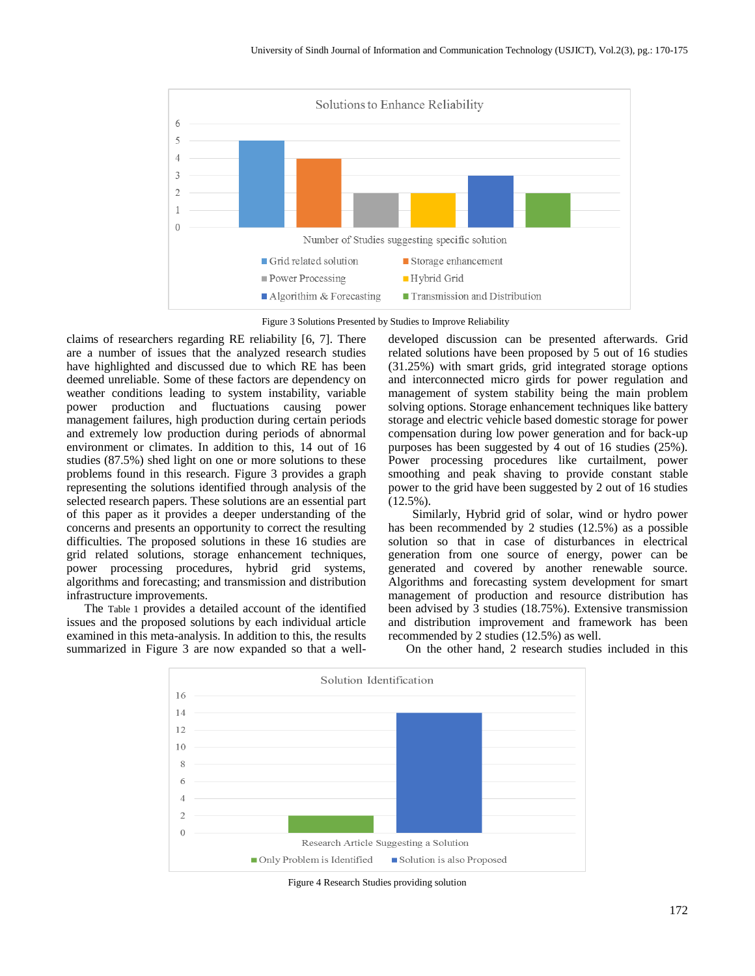

Figure 3 Solutions Presented by Studies to Improve Reliability

<span id="page-2-0"></span>claims of researchers regarding RE reliability [6, 7]. There are a number of issues that the analyzed research studies have highlighted and discussed due to which RE has been deemed unreliable. Some of these factors are dependency on weather conditions leading to system instability, variable power production and fluctuations causing power management failures, high production during certain periods and extremely low production during periods of abnormal environment or climates. In addition to this, 14 out of 16 studies (87.5%) shed light on one or more solutions to these problems found in this research. [Figure 3](#page-2-0) provides a graph representing the solutions identified through analysis of the selected research papers. These solutions are an essential part of this paper as it provides a deeper understanding of the concerns and presents an opportunity to correct the resulting difficulties. The proposed solutions in these 16 studies are grid related solutions, storage enhancement techniques, power processing procedures, hybrid grid systems, algorithms and forecasting; and transmission and distribution infrastructure improvements.

The [Table 1](#page-3-0) provides a detailed account of the identified issues and the proposed solutions by each individual article examined in this meta-analysis. In addition to this, the results summarized in [Figure 3](#page-2-0) are now expanded so that a welldeveloped discussion can be presented afterwards. Grid related solutions have been proposed by 5 out of 16 studies (31.25%) with smart grids, grid integrated storage options and interconnected micro girds for power regulation and management of system stability being the main problem solving options. Storage enhancement techniques like battery storage and electric vehicle based domestic storage for power compensation during low power generation and for back-up purposes has been suggested by 4 out of 16 studies (25%). Power processing procedures like curtailment, power smoothing and peak shaving to provide constant stable power to the grid have been suggested by 2 out of 16 studies (12.5%).

Similarly, Hybrid grid of solar, wind or hydro power has been recommended by 2 studies (12.5%) as a possible solution so that in case of disturbances in electrical generation from one source of energy, power can be generated and covered by another renewable source. Algorithms and forecasting system development for smart management of production and resource distribution has been advised by 3 studies (18.75%). Extensive transmission and distribution improvement and framework has been recommended by 2 studies (12.5%) as well.

On the other hand, 2 research studies included in this



<span id="page-2-1"></span>Figure 4 Research Studies providing solution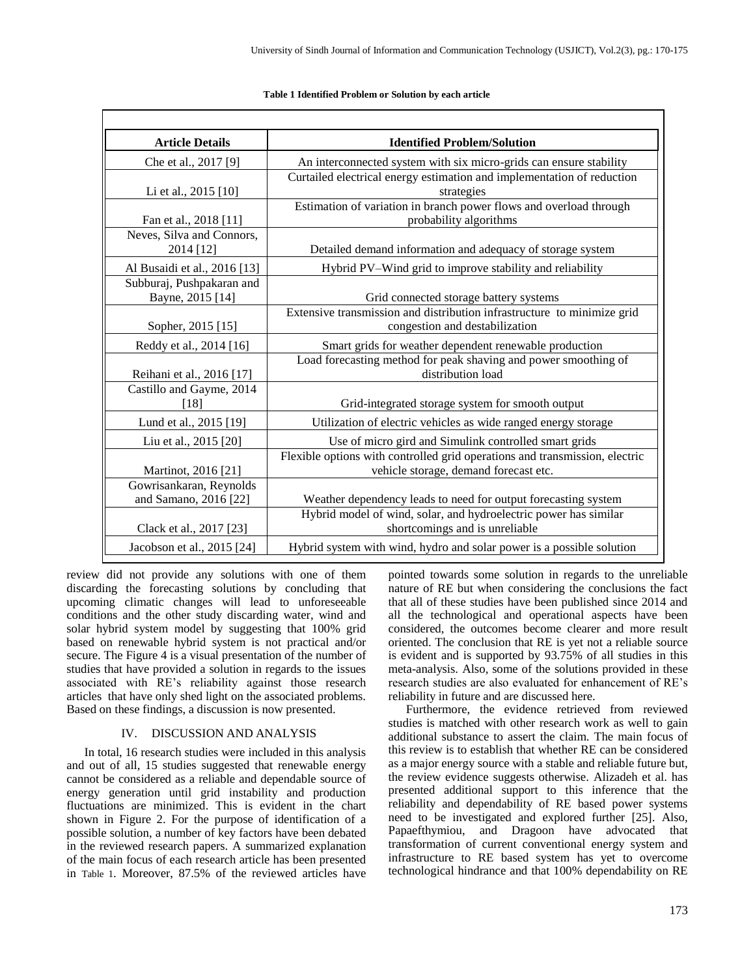<span id="page-3-0"></span>

| <b>Article Details</b>                           | <b>Identified Problem/Solution</b>                                                                                   |
|--------------------------------------------------|----------------------------------------------------------------------------------------------------------------------|
| Che et al., 2017 [9]                             | An interconnected system with six micro-grids can ensure stability                                                   |
| Li et al., 2015 [10]                             | Curtailed electrical energy estimation and implementation of reduction<br>strategies                                 |
| Fan et al., 2018 [11]                            | Estimation of variation in branch power flows and overload through<br>probability algorithms                         |
| Neves, Silva and Connors,<br>2014 [12]           | Detailed demand information and adequacy of storage system                                                           |
| Al Busaidi et al., 2016 [13]                     | Hybrid PV-Wind grid to improve stability and reliability                                                             |
| Subburaj, Pushpakaran and<br>Bayne, 2015 [14]    | Grid connected storage battery systems                                                                               |
| Sopher, 2015 [15]                                | Extensive transmission and distribution infrastructure to minimize grid<br>congestion and destabilization            |
| Reddy et al., 2014 [16]                          | Smart grids for weather dependent renewable production                                                               |
| Reihani et al., 2016 [17]                        | Load forecasting method for peak shaving and power smoothing of<br>distribution load                                 |
| Castillo and Gayme, 2014<br>[18]                 | Grid-integrated storage system for smooth output                                                                     |
| Lund et al., 2015 [19]                           | Utilization of electric vehicles as wide ranged energy storage                                                       |
| Liu et al., 2015 [20]                            | Use of micro gird and Simulink controlled smart grids                                                                |
| Martinot, 2016 [21]                              | Flexible options with controlled grid operations and transmission, electric<br>vehicle storage, demand forecast etc. |
| Gowrisankaran, Reynolds<br>and Samano, 2016 [22] | Weather dependency leads to need for output forecasting system                                                       |
| Clack et al., 2017 [23]                          | Hybrid model of wind, solar, and hydroelectric power has similar<br>shortcomings and is unreliable                   |
| Jacobson et al., 2015 [24]                       | Hybrid system with wind, hydro and solar power is a possible solution                                                |

#### **Table 1 Identified Problem or Solution by each article**

review did not provide any solutions with one of them discarding the forecasting solutions by concluding that upcoming climatic changes will lead to unforeseeable conditions and the other study discarding water, wind and solar hybrid system model by suggesting that 100% grid based on renewable hybrid system is not practical and/or secure. The [Figure 4](#page-2-1) is a visual presentation of the number of studies that have provided a solution in regards to the issues associated with RE's reliability against those research articles that have only shed light on the associated problems. Based on these findings, a discussion is now presented.

## IV. DISCUSSION AND ANALYSIS

In total, 16 research studies were included in this analysis and out of all, 15 studies suggested that renewable energy cannot be considered as a reliable and dependable source of energy generation until grid instability and production fluctuations are minimized. This is evident in the chart shown in [Figure 2.](#page-1-1) For the purpose of identification of a possible solution, a number of key factors have been debated in the reviewed research papers. A summarized explanation of the main focus of each research article has been presented in [Table 1](#page-3-0). Moreover, 87.5% of the reviewed articles have

pointed towards some solution in regards to the unreliable nature of RE but when considering the conclusions the fact that all of these studies have been published since 2014 and all the technological and operational aspects have been considered, the outcomes become clearer and more result oriented. The conclusion that RE is yet not a reliable source is evident and is supported by 93.75% of all studies in this meta-analysis. Also, some of the solutions provided in these research studies are also evaluated for enhancement of RE's reliability in future and are discussed here.

Furthermore, the evidence retrieved from reviewed studies is matched with other research work as well to gain additional substance to assert the claim. The main focus of this review is to establish that whether RE can be considered as a major energy source with a stable and reliable future but, the review evidence suggests otherwise. Alizadeh et al. has presented additional support to this inference that the reliability and dependability of RE based power systems need to be investigated and explored further [25]. Also, Papaefthymiou, and Dragoon have advocated that transformation of current conventional energy system and infrastructure to RE based system has yet to overcome technological hindrance and that 100% dependability on RE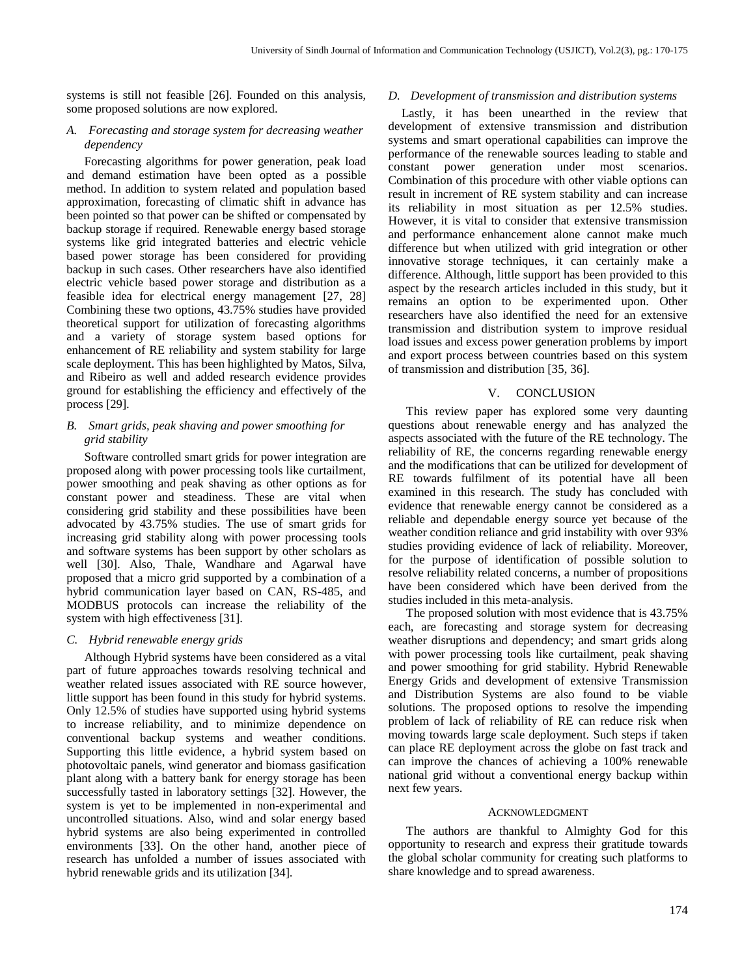systems is still not feasible [26]. Founded on this analysis, some proposed solutions are now explored.

## *A. Forecasting and storage system for decreasing weather dependency*

Forecasting algorithms for power generation, peak load and demand estimation have been opted as a possible method. In addition to system related and population based approximation, forecasting of climatic shift in advance has been pointed so that power can be shifted or compensated by backup storage if required. Renewable energy based storage systems like grid integrated batteries and electric vehicle based power storage has been considered for providing backup in such cases. Other researchers have also identified electric vehicle based power storage and distribution as a feasible idea for electrical energy management [27, 28] Combining these two options, 43.75% studies have provided theoretical support for utilization of forecasting algorithms and a variety of storage system based options for enhancement of RE reliability and system stability for large scale deployment. This has been highlighted by Matos, Silva, and Ribeiro as well and added research evidence provides ground for establishing the efficiency and effectively of the process [29].

## *B. Smart grids, peak shaving and power smoothing for grid stability*

Software controlled smart grids for power integration are proposed along with power processing tools like curtailment, power smoothing and peak shaving as other options as for constant power and steadiness. These are vital when considering grid stability and these possibilities have been advocated by 43.75% studies. The use of smart grids for increasing grid stability along with power processing tools and software systems has been support by other scholars as well [30]. Also, Thale, Wandhare and Agarwal have proposed that a micro grid supported by a combination of a hybrid communication layer based on CAN, RS-485, and MODBUS protocols can increase the reliability of the system with high effectiveness [31].

#### *C. Hybrid renewable energy grids*

Although Hybrid systems have been considered as a vital part of future approaches towards resolving technical and weather related issues associated with RE source however, little support has been found in this study for hybrid systems. Only 12.5% of studies have supported using hybrid systems to increase reliability, and to minimize dependence on conventional backup systems and weather conditions. Supporting this little evidence, a hybrid system based on photovoltaic panels, wind generator and biomass gasification plant along with a battery bank for energy storage has been successfully tasted in laboratory settings [32]. However, the system is yet to be implemented in non-experimental and uncontrolled situations. Also, wind and solar energy based hybrid systems are also being experimented in controlled environments [33]. On the other hand, another piece of research has unfolded a number of issues associated with hybrid renewable grids and its utilization [34].

### *D. Development of transmission and distribution systems*

Lastly, it has been unearthed in the review that development of extensive transmission and distribution systems and smart operational capabilities can improve the performance of the renewable sources leading to stable and constant power generation under most scenarios. Combination of this procedure with other viable options can result in increment of RE system stability and can increase its reliability in most situation as per 12.5% studies. However, it is vital to consider that extensive transmission and performance enhancement alone cannot make much difference but when utilized with grid integration or other innovative storage techniques, it can certainly make a difference. Although, little support has been provided to this aspect by the research articles included in this study, but it remains an option to be experimented upon. Other researchers have also identified the need for an extensive transmission and distribution system to improve residual load issues and excess power generation problems by import and export process between countries based on this system of transmission and distribution [35, 36].

#### V. CONCLUSION

This review paper has explored some very daunting questions about renewable energy and has analyzed the aspects associated with the future of the RE technology. The reliability of RE, the concerns regarding renewable energy and the modifications that can be utilized for development of RE towards fulfilment of its potential have all been examined in this research. The study has concluded with evidence that renewable energy cannot be considered as a reliable and dependable energy source yet because of the weather condition reliance and grid instability with over 93% studies providing evidence of lack of reliability. Moreover, for the purpose of identification of possible solution to resolve reliability related concerns, a number of propositions have been considered which have been derived from the studies included in this meta-analysis.

The proposed solution with most evidence that is 43.75% each, are forecasting and storage system for decreasing weather disruptions and dependency; and smart grids along with power processing tools like curtailment, peak shaving and power smoothing for grid stability. Hybrid Renewable Energy Grids and development of extensive Transmission and Distribution Systems are also found to be viable solutions. The proposed options to resolve the impending problem of lack of reliability of RE can reduce risk when moving towards large scale deployment. Such steps if taken can place RE deployment across the globe on fast track and can improve the chances of achieving a 100% renewable national grid without a conventional energy backup within next few years.

#### ACKNOWLEDGMENT

The authors are thankful to Almighty God for this opportunity to research and express their gratitude towards the global scholar community for creating such platforms to share knowledge and to spread awareness.